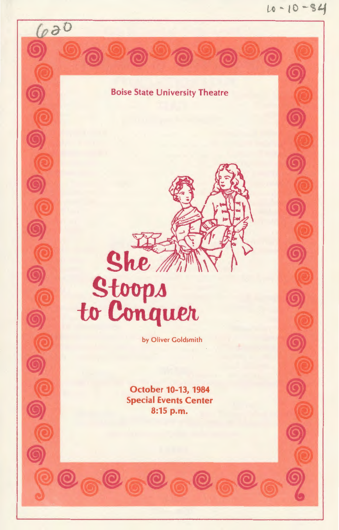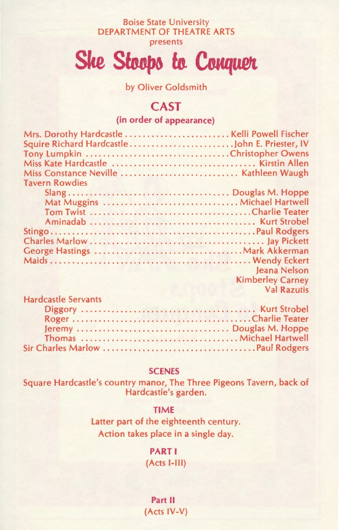#### Boise State University DEPARTMENT OF THEATRE ARTS presents

She Stoops to Conquer

by Oliver Goldsmith

# **CAST**

### (in order of appearance)

| Miss Constance Neville  Kathleen Waugh |                         |
|----------------------------------------|-------------------------|
| <b>Tavern Rowdies</b>                  |                         |
|                                        |                         |
| Mat Muggins  Michael Hartwell          |                         |
|                                        |                         |
|                                        |                         |
|                                        |                         |
|                                        |                         |
|                                        |                         |
|                                        |                         |
|                                        | <b>Jeana Nelson</b>     |
|                                        |                         |
|                                        | <b>Kimberley Carney</b> |
|                                        | <b>Val Razutis</b>      |
| <b>Hardcastle Servants</b>             |                         |

#### **SCENES**

Square Hardcastle's country manor, The Three Pigeons Tavern, back of Hardcastle's garden.

### TIME

Latter part of the eighteenth century. Action takes place in a single day.

> PART I (Acts 1-111)

Part II (Acts IV-V)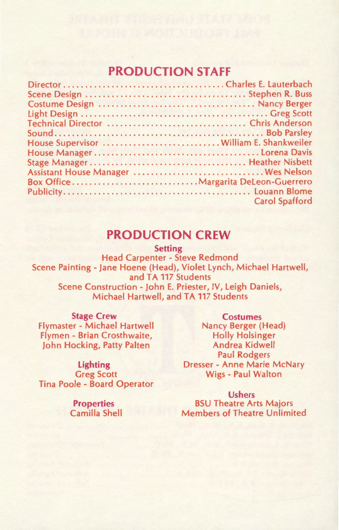# **PRODUCTION STAFF**

| House Supervisor  William E. Shankweiler |
|------------------------------------------|
|                                          |
|                                          |
| Assistant House Manager  Wes Nelson      |
|                                          |
|                                          |
| <b>Carol Spafford</b>                    |
|                                          |

### **PRODUCTION CREW**

Setting

Head Carpenter - Steve Redmond Scene Painting- Jane Hoene (Head), Violet Lynch, Michael Hartwell, and TA 117 Students Scene Construction- John E. Priester, IV, Leigh Daniels, Michael Hartwell, and TA 117 Students

#### Stage Crew

Flymaster - Michael Hartwell Flymen - Brian Crosthwaite, John Hocking, Patty Palten

Lighting Greg Scott Tina Poole - Board Operator

> Properties Camilla Shell

**Costumes** Nancy Berger (Head) Holly Holsinger Andrea Kidwell Paul Rodgers Dresser- Anne Marie McNary Wigs - Paul Walton

Ushers BSU Theatre Arts Majors Members of Theatre Unlimited